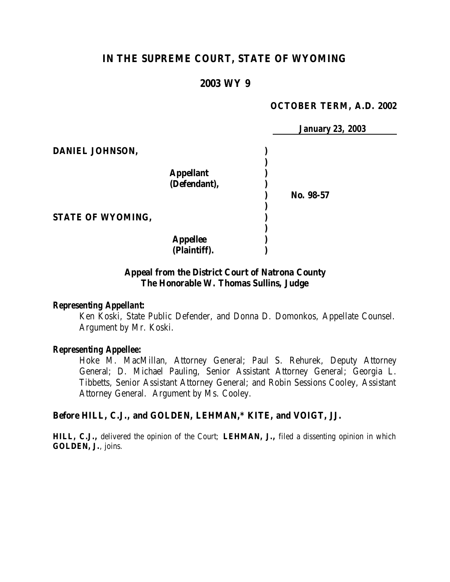# **IN THE SUPREME COURT, STATE OF WYOMING**

## **2003 WY 9**

#### **OCTOBER TERM, A.D. 2002**

|                          |                  | <b>January 23, 2003</b> |
|--------------------------|------------------|-------------------------|
| DANIEL JOHNSON,          |                  |                         |
|                          |                  |                         |
|                          | <b>Appellant</b> |                         |
|                          | (Defendant),     |                         |
|                          |                  | No. 98-57               |
|                          |                  |                         |
| <b>STATE OF WYOMING,</b> |                  |                         |
|                          |                  |                         |
|                          | <b>Appellee</b>  |                         |
|                          | (Plaintiff).     |                         |

### **Appeal from the District Court of Natrona County The Honorable W. Thomas Sullins, Judge**

#### *Representing Appellant:*

Ken Koski, State Public Defender, and Donna D. Domonkos, Appellate Counsel. Argument by Mr. Koski.

#### *Representing Appellee:*

Hoke M. MacMillan, Attorney General; Paul S. Rehurek, Deputy Attorney General; D. Michael Pauling, Senior Assistant Attorney General; Georgia L. Tibbetts, Senior Assistant Attorney General; and Robin Sessions Cooley, Assistant Attorney General. Argument by Ms. Cooley.

## **Before HILL, C.J., and GOLDEN, LEHMAN,\* KITE, and VOIGT, JJ.**

**HILL, C.J.,** delivered the opinion of the Court; **LEHMAN, J.,** filed a dissenting opinion in which **GOLDEN, J.**, joins.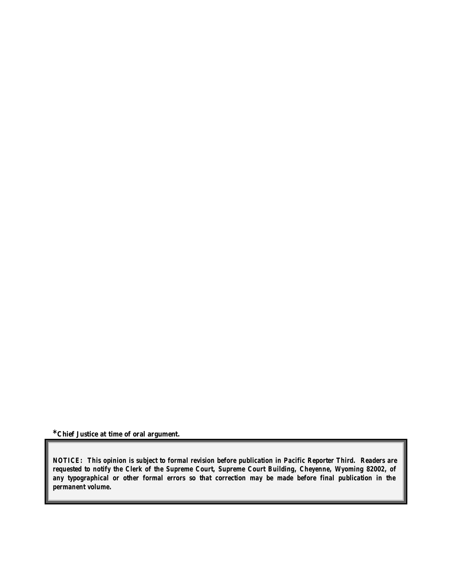**\*Chief Justice at time of oral argument.**

*NOTICE: This opinion is subject to formal revision before publication in Pacific Reporter Third. Readers are requested to notify the Clerk of the Supreme Court, Supreme Court Building, Cheyenne, Wyoming 82002, of any typographical or other formal errors so that correction may be made before final publication in the permanent volume.*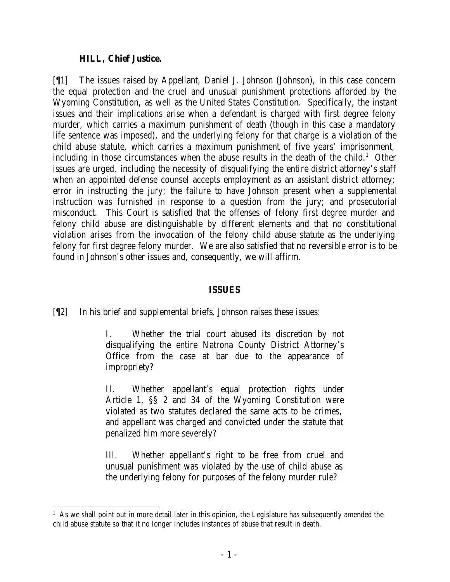### **HILL, Chief Justice.**

[¶1] The issues raised by Appellant, Daniel J. Johnson (Johnson), in this case concern the equal protection and the cruel and unusual punishment protections afforded by the Wyoming Constitution, as well as the United States Constitution. Specifically, the instant issues and their implications arise when a defendant is charged with first degree felony murder, which carries a maximum punishment of death (though in this case a mandatory life sentence was imposed), and the underlying felony for that charge is a violation of the child abuse statute, which carries a maximum punishment of five years' imprisonment, including in those circumstances when the abuse results in the death of the child.<sup>1</sup> Other issues are urged, including the necessity of disqualifying the entire district attorney's staff when an appointed defense counsel accepts employment as an assistant district attorney; error in instructing the jury; the failure to have Johnson present when a supplemental instruction was furnished in response to a question from the jury; and prosecutorial misconduct. This Court is satisfied that the offenses of felony first degree murder and felony child abuse are distinguishable by different elements and that no constitutional violation arises from the invocation of the felony child abuse statute as the underlying felony for first degree felony murder. We are also satisfied that no reversible error is to be found in Johnson's other issues and, consequently, we will affirm.

### **ISSUES**

[¶2] In his brief and supplemental briefs, Johnson raises these issues:

I. Whether the trial court abused its discretion by not disqualifying the entire Natrona County District Attorney's Office from the case at bar due to the appearance of impropriety?

II. Whether appellant's equal protection rights under Article 1, §§ 2 and 34 of the Wyoming Constitution were violated as two statutes declared the same acts to be crimes, and appellant was charged and convicted under the statute that penalized him more severely?

III. Whether appellant's right to be free from cruel and unusual punishment was violated by the use of child abuse as the underlying felony for purposes of the felony murder rule?

 $<sup>1</sup>$  As we shall point out in more detail later in this opinion, the Legislature has subsequently amended the</sup> child abuse statute so that it no longer includes instances of abuse that result in death.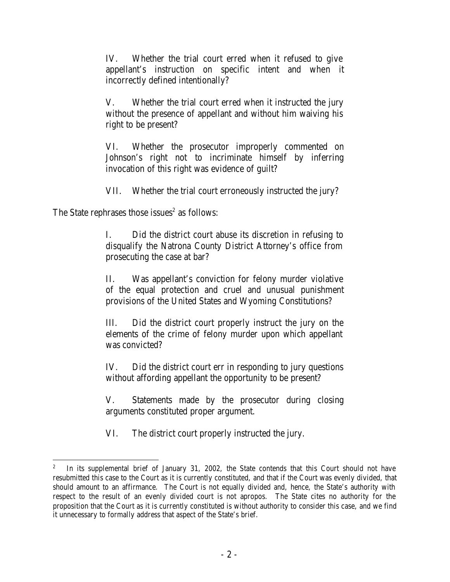IV. Whether the trial court erred when it refused to give appellant's instruction on specific intent and when it incorrectly defined intentionally?

V. Whether the trial court erred when it instructed the jury without the presence of appellant and without him waiving his right to be present?

VI. Whether the prosecutor improperly commented on Johnson's right not to incriminate himself by inferring invocation of this right was evidence of guilt?

VII. Whether the trial court erroneously instructed the jury?

The State rephrases those issues $2$  as follows:

I. Did the district court abuse its discretion in refusing to disqualify the Natrona County District Attorney's office from prosecuting the case at bar?

II. Was appellant's conviction for felony murder violative of the equal protection and cruel and unusual punishment provisions of the United States and Wyoming Constitutions?

III. Did the district court properly instruct the jury on the elements of the crime of felony murder upon which appellant was convicted?

IV. Did the district court err in responding to jury questions without affording appellant the opportunity to be present?

V. Statements made by the prosecutor during closing arguments constituted proper argument.

VI. The district court properly instructed the jury.

<sup>2</sup> In its supplemental brief of January 31, 2002, the State contends that this Court should not have resubmitted this case to the Court as it is currently constituted, and that if the Court was evenly divided, that should amount to an affirmance. The Court is not equally divided and, hence, the State's authority with respect to the result of an evenly divided court is not apropos. The State cites no authority for the proposition that the Court as it is currently constituted is without authority to consider this case, and we find it unnecessary to formally address that aspect of the State's brief.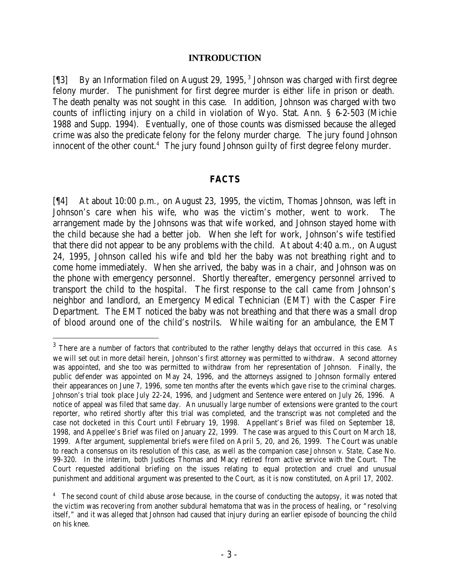#### **INTRODUCTION**

[¶3] By an Information filed on August 29, 1995,<sup>3</sup> Johnson was charged with first degree felony murder. The punishment for first degree murder is either life in prison or death. The death penalty was not sought in this case. In addition, Johnson was charged with two counts of inflicting injury on a child in violation of Wyo. Stat. Ann. § 6-2-503 (Michie 1988 and Supp. 1994). Eventually, one of those counts was dismissed because the alleged crime was also the predicate felony for the felony murder charge. The jury found Johnson innocent of the other count.<sup>4</sup> The jury found Johnson guilty of first degree felony murder.

#### **FACTS**

[¶4] At about 10:00 p.m., on August 23, 1995, the victim, Thomas Johnson, was left in Johnson's care when his wife, who was the victim's mother, went to work. The arrangement made by the Johnsons was that wife worked, and Johnson stayed home with the child because she had a better job. When she left for work, Johnson's wife testified that there did not appear to be any problems with the child. At about 4:40 a.m., on August 24, 1995, Johnson called his wife and told her the baby was not breathing right and to come home immediately. When she arrived, the baby was in a chair, and Johnson was on the phone with emergency personnel. Shortly thereafter, emergency personnel arrived to transport the child to the hospital. The first response to the call came from Johnson's neighbor and landlord, an Emergency Medical Technician (EMT) with the Casper Fire Department. The EMT noticed the baby was not breathing and that there was a small drop of blood around one of the child's nostrils. While waiting for an ambulance, the EMT

 $3$  There are a number of factors that contributed to the rather lengthy delays that occurred in this case. As we will set out in more detail herein, Johnson's first attorney was permitted to withdraw. A second attorney was appointed, and she too was permitted to withdraw from her representation of Johnson. Finally, the public defender was appointed on May 24, 1996, and the attorneys assigned to Johnson formally entered their appearances on June 7, 1996, some ten months after the events which gave rise to the criminal charges. Johnson's trial took place July 22-24, 1996, and Judgment and Sentence were entered on July 26, 1996. A notice of appeal was filed that same day. An unusually large number of extensions were granted to the court reporter, who retired shortly after this trial was completed, and the transcript was not completed and the case not docketed in this Court until February 19, 1998. Appellant's Brief was filed on September 18, 1998, and Appellee's Brief was filed on January 22, 1999. The case was argued to this Court on March 18, 1999. After argument, supplemental briefs were filed on April 5, 20, and 26, 1999. The Court was unable to reach a consensus on its resolution of this case, as well as the companion case *Johnson v. State*, Case No. 99-320. In the interim, both Justices Thomas and Macy retired from active service with the Court. The Court requested additional briefing on the issues relating to equal protection and cruel and unusual punishment and additional argument was presented to the Court, as it is now constituted, on April 17, 2002.

<sup>&</sup>lt;sup>4</sup> The second count of child abuse arose because, in the course of conducting the autopsy, it was noted that the victim was recovering from another subdural hematoma that was in the process of healing, or "resolving itself," and it was alleged that Johnson had caused that injury during an earlier episode of bouncing the child on his knee.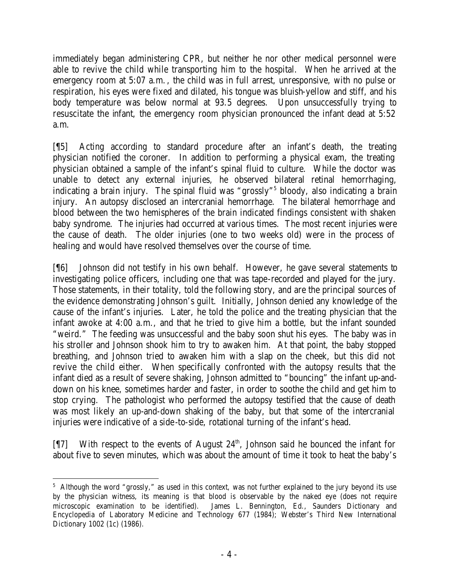immediately began administering CPR, but neither he nor other medical personnel were able to revive the child while transporting him to the hospital. When he arrived at the emergency room at 5:07 a.m., the child was in full arrest, unresponsive, with no pulse or respiration, his eyes were fixed and dilated, his tongue was bluish-yellow and stiff, and his body temperature was below normal at 93.5 degrees. Upon unsuccessfully trying to resuscitate the infant, the emergency room physician pronounced the infant dead at 5:52 a.m.

[¶5] Acting according to standard procedure after an infant's death, the treating physician notified the coroner. In addition to performing a physical exam, the treating physician obtained a sample of the infant's spinal fluid to culture. While the doctor was unable to detect any external injuries, he observed bilateral retinal hemorrhaging, indicating a brain injury. The spinal fluid was "grossly"<sup>5</sup> bloody, also indicating a brain injury. An autopsy disclosed an intercranial hemorrhage. The bilateral hemorrhage and blood between the two hemispheres of the brain indicated findings consistent with shaken baby syndrome. The injuries had occurred at various times. The most recent injuries were the cause of death. The older injuries (one to two weeks old) were in the process of healing and would have resolved themselves over the course of time.

[¶6] Johnson did not testify in his own behalf. However, he gave several statements to investigating police officers, including one that was tape-recorded and played for the jury. Those statements, in their totality, told the following story, and are the principal sources of the evidence demonstrating Johnson's guilt. Initially, Johnson denied any knowledge of the cause of the infant's injuries. Later, he told the police and the treating physician that the infant awoke at 4:00 a.m., and that he tried to give him a bottle, but the infant sounded "weird." The feeding was unsuccessful and the baby soon shut his eyes. The baby was in his stroller and Johnson shook him to try to awaken him. At that point, the baby stopped breathing, and Johnson tried to awaken him with a slap on the cheek, but this did not revive the child either. When specifically confronted with the autopsy results that the infant died as a result of severe shaking, Johnson admitted to "bouncing" the infant up-anddown on his knee, sometimes harder and faster, in order to soothe the child and get him to stop crying. The pathologist who performed the autopsy testified that the cause of death was most likely an up-and-down shaking of the baby, but that some of the intercranial injuries were indicative of a side-to-side, rotational turning of the infant's head.

[¶7] With respect to the events of August 24<sup>th</sup>, Johnson said he bounced the infant for about five to seven minutes, which was about the amount of time it took to heat the baby's

 <sup>5</sup> Although the word "grossly," as used in this context, was not further explained to the jury beyond its use by the physician witness, its meaning is that blood is observable by the naked eye (does not require microscopic examination to be identified). James L. Bennington, Ed., Saunders Dictionary and Encyclopedia of Laboratory Medicine and Technology 677 (1984); Webster's Third New International Dictionary 1002 (1c) (1986).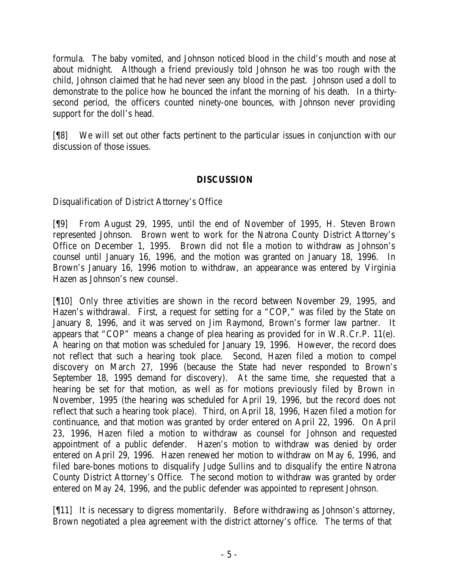formula. The baby vomited, and Johnson noticed blood in the child's mouth and nose at about midnight. Although a friend previously told Johnson he was too rough with the child, Johnson claimed that he had never seen any blood in the past. Johnson used a doll to demonstrate to the police how he bounced the infant the morning of his death. In a thirtysecond period, the officers counted ninety-one bounces, with Johnson never providing support for the doll's head.

[¶8] We will set out other facts pertinent to the particular issues in conjunction with our discussion of those issues.

# **DISCUSSION**

Disqualification of District Attorney's Office

[¶9] From August 29, 1995, until the end of November of 1995, H. Steven Brown represented Johnson. Brown went to work for the Natrona County District Attorney's Office on December 1, 1995. Brown did not file a motion to withdraw as Johnson's counsel until January 16, 1996, and the motion was granted on January 18, 1996. In Brown's January 16, 1996 motion to withdraw, an appearance was entered by Virginia Hazen as Johnson's new counsel.

[¶10] Only three activities are shown in the record between November 29, 1995, and Hazen's withdrawal. First, a request for setting for a "COP," was filed by the State on January 8, 1996, and it was served on Jim Raymond, Brown's former law partner. It appears that "COP" means a change of plea hearing as provided for in W.R.Cr.P. 11(e). A hearing on that motion was scheduled for January 19, 1996. However, the record does not reflect that such a hearing took place. Second, Hazen filed a motion to compel discovery on March 27, 1996 (because the State had never responded to Brown's September 18, 1995 demand for discovery). At the same time, she requested that a hearing be set for that motion, as well as for motions previously filed by Brown in November, 1995 (the hearing was scheduled for April 19, 1996, but the record does not reflect that such a hearing took place). Third, on April 18, 1996, Hazen filed a motion for continuance, and that motion was granted by order entered on April 22, 1996. On April 23, 1996, Hazen filed a motion to withdraw as counsel for Johnson and requested appointment of a public defender. Hazen's motion to withdraw was denied by order entered on April 29, 1996. Hazen renewed her motion to withdraw on May 6, 1996, and filed bare-bones motions to disqualify Judge Sullins and to disqualify the entire Natrona County District Attorney's Office. The second motion to withdraw was granted by order entered on May 24, 1996, and the public defender was appointed to represent Johnson.

[¶11] It is necessary to digress momentarily. Before withdrawing as Johnson's attorney, Brown negotiated a plea agreement with the district attorney's office. The terms of that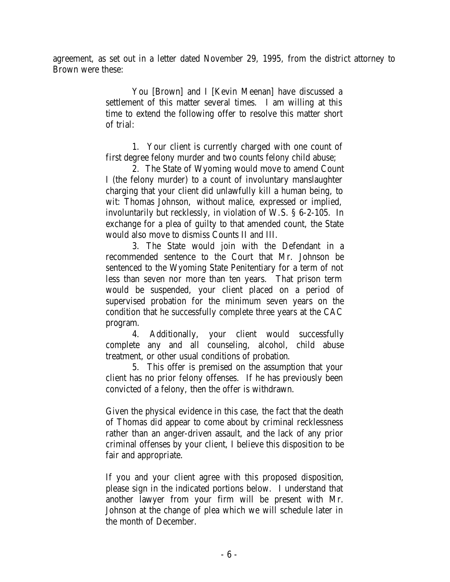agreement, as set out in a letter dated November 29, 1995, from the district attorney to Brown were these:

> You [Brown] and I [Kevin Meenan] have discussed a settlement of this matter several times. I am willing at this time to extend the following offer to resolve this matter short of trial:

> 1. Your client is currently charged with one count of first degree felony murder and two counts felony child abuse;

> 2. The State of Wyoming would move to amend Count I (the felony murder) to a count of involuntary manslaughter charging that your client did unlawfully kill a human being, to wit: Thomas Johnson, without malice, expressed or implied, involuntarily but recklessly, in violation of W.S. § 6-2-105. In exchange for a plea of guilty to that amended count, the State would also move to dismiss Counts II and III.

> 3. The State would join with the Defendant in a recommended sentence to the Court that Mr. Johnson be sentenced to the Wyoming State Penitentiary for a term of not less than seven nor more than ten years. That prison term would be suspended, your client placed on a period of supervised probation for the minimum seven years on the condition that he successfully complete three years at the CAC program.

> 4. Additionally, your client would successfully complete any and all counseling, alcohol, child abuse treatment, or other usual conditions of probation.

> 5. This offer is premised on the assumption that your client has no prior felony offenses. If he has previously been convicted of a felony, then the offer is withdrawn.

> Given the physical evidence in this case, the fact that the death of Thomas did appear to come about by criminal recklessness rather than an anger-driven assault, and the lack of any prior criminal offenses by your client, I believe this disposition to be fair and appropriate.

> If you and your client agree with this proposed disposition, please sign in the indicated portions below. I understand that another lawyer from your firm will be present with Mr. Johnson at the change of plea which we will schedule later in the month of December.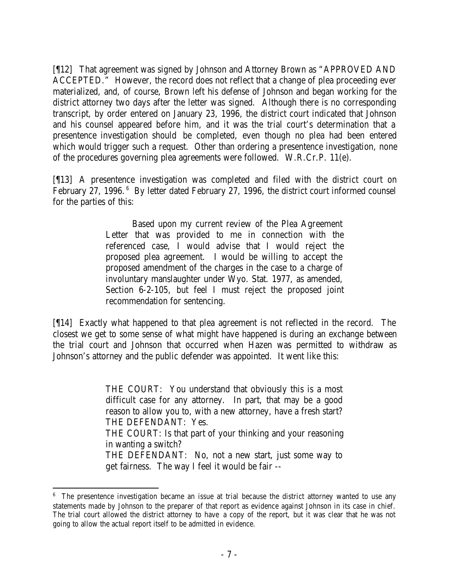[¶12] That agreement was signed by Johnson and Attorney Brown as "APPROVED AND ACCEPTED." However, the record does not reflect that a change of plea proceeding ever materialized, and, of course, Brown left his defense of Johnson and began working for the district attorney two days after the letter was signed. Although there is no corresponding transcript, by order entered on January 23, 1996, the district court indicated that Johnson and his counsel appeared before him, and it was the trial court's determination that a presentence investigation should be completed, even though no plea had been entered which would trigger such a request. Other than ordering a presentence investigation, none of the procedures governing plea agreements were followed. W.R.Cr.P. 11(e).

[¶13] A presentence investigation was completed and filed with the district court on February 27, 1996.<sup>6</sup> By letter dated February 27, 1996, the district court informed counsel for the parties of this:

> Based upon my current review of the Plea Agreement Letter that was provided to me in connection with the referenced case, I would advise that I would reject the proposed plea agreement. I would be willing to accept the proposed amendment of the charges in the case to a charge of involuntary manslaughter under Wyo. Stat. 1977, as amended, Section 6-2-105, but feel I must reject the proposed joint recommendation for sentencing.

[¶14] Exactly what happened to that plea agreement is not reflected in the record. The closest we get to some sense of what might have happened is during an exchange between the trial court and Johnson that occurred when Hazen was permitted to withdraw as Johnson's attorney and the public defender was appointed. It went like this:

> THE COURT: You understand that obviously this is a most difficult case for any attorney. In part, that may be a good reason to allow you to, with a new attorney, have a fresh start? THE DEFENDANT: Yes. THE COURT: Is that part of your thinking and your reasoning in wanting a switch? THE DEFENDANT: No, not a new start, just some way to get fairness. The way I feel it would be fair --

<sup>&</sup>lt;sup>6</sup> The presentence investigation became an issue at trial because the district attorney wanted to use any statements made by Johnson to the preparer of that report as evidence against Johnson in its case in chief. The trial court allowed the district attorney to have a copy of the report, but it was clear that he was not going to allow the actual report itself to be admitted in evidence.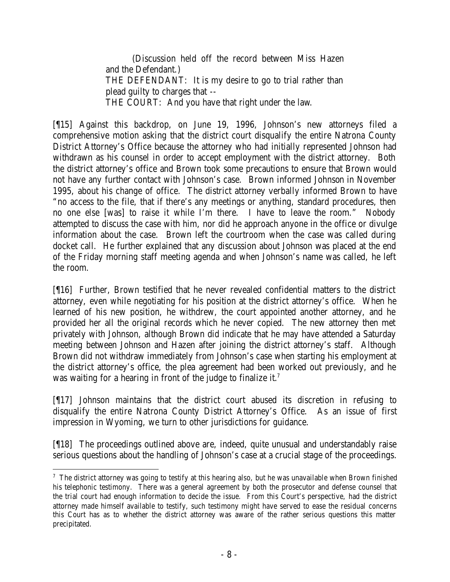(Discussion held off the record between Miss Hazen and the Defendant.) THE DEFENDANT: It is my desire to go to trial rather than plead guilty to charges that -- THE COURT: And you have that right under the law.

[¶15] Against this backdrop, on June 19, 1996, Johnson's new attorneys filed a comprehensive motion asking that the district court disqualify the entire Natrona County District Attorney's Office because the attorney who had initially represented Johnson had withdrawn as his counsel in order to accept employment with the district attorney. Both the district attorney's office and Brown took some precautions to ensure that Brown would not have any further contact with Johnson's case. Brown informed Johnson in November 1995, about his change of office. The district attorney verbally informed Brown to have "no access to the file, that if there's any meetings or anything, standard procedures, then no one else [was] to raise it while I'm there. I have to leave the room." Nobody attempted to discuss the case with him, nor did he approach anyone in the office or divulge information about the case. Brown left the courtroom when the case was called during docket call. He further explained that any discussion about Johnson was placed at the end of the Friday morning staff meeting agenda and when Johnson's name was called, he left the room.

[¶16] Further, Brown testified that he never revealed confidential matters to the district attorney, even while negotiating for his position at the district attorney's office. When he learned of his new position, he withdrew, the court appointed another attorney, and he provided her all the original records which he never copied. The new attorney then met privately with Johnson, although Brown did indicate that he may have attended a Saturday meeting between Johnson and Hazen after joining the district attorney's staff. Although Brown did not withdraw immediately from Johnson's case when starting his employment at the district attorney's office, the plea agreement had been worked out previously, and he was waiting for a hearing in front of the judge to finalize it.<sup>7</sup>

[¶17] Johnson maintains that the district court abused its discretion in refusing to disqualify the entire Natrona County District Attorney's Office. As an issue of first impression in Wyoming, we turn to other jurisdictions for guidance.

[¶18] The proceedings outlined above are, indeed, quite unusual and understandably raise serious questions about the handling of Johnson's case at a crucial stage of the proceedings.

  $7$  The district attorney was going to testify at this hearing also, but he was unavailable when Brown finished his telephonic testimony. There was a general agreement by both the prosecutor and defense counsel that the trial court had enough information to decide the issue. From this Court's perspective, had the district attorney made himself available to testify, such testimony might have served to ease the residual concerns this Court has as to whether the district attorney was aware of the rather serious questions this matter precipitated.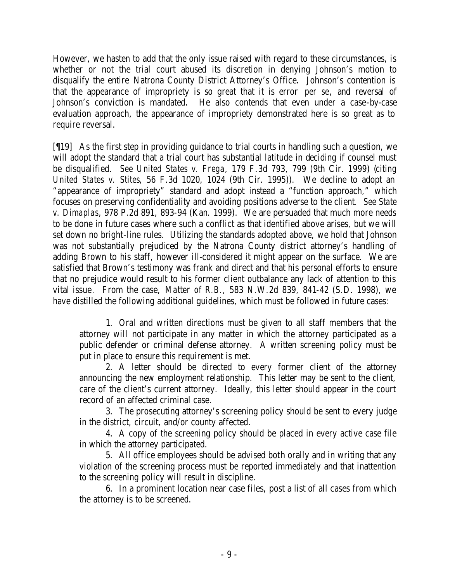However, we hasten to add that the only issue raised with regard to these circumstances, is whether or not the trial court abused its discretion in denying Johnson's motion to disqualify the entire Natrona County District Attorney's Office. Johnson's contention is that the appearance of impropriety is so great that it is error *per se*, and reversal of Johnson's conviction is mandated. He also contends that even under a case-by-case evaluation approach, the appearance of impropriety demonstrated here is so great as to require reversal.

[¶19] As the first step in providing guidance to trial courts in handling such a question, we will adopt the standard that a trial court has substantial latitude in deciding if counsel must be disqualified. *See United States v. Frega*, 179 F.3d 793, 799 (9th Cir. 1999) (*citing United States v. Stites*, 56 F.3d 1020, 1024 (9th Cir. 1995)). We decline to adopt an "appearance of impropriety" standard and adopt instead a "function approach," which focuses on preserving confidentiality and avoiding positions adverse to the client. *See State v. Dimaplas*, 978 P.2d 891, 893-94 (Kan. 1999). We are persuaded that much more needs to be done in future cases where such a conflict as that identified above arises, but we will set down no bright-line rules. Utilizing the standards adopted above, we hold that Johnson was not substantially prejudiced by the Natrona County district attorney's handling of adding Brown to his staff, however ill-considered it might appear on the surface. We are satisfied that Brown's testimony was frank and direct and that his personal efforts to ensure that no prejudice would result to his former client outbalance any lack of attention to this vital issue. From the case, *Matter of R.B.*, 583 N.W.2d 839, 841-42 (S.D. 1998), we have distilled the following additional guidelines, which must be followed in future cases:

1. Oral and written directions must be given to all staff members that the attorney will not participate in any matter in which the attorney participated as a public defender or criminal defense attorney. A written screening policy must be put in place to ensure this requirement is met.

2. A letter should be directed to every former client of the attorney announcing the new employment relationship. This letter may be sent to the client, care of the client's current attorney. Ideally, this letter should appear in the court record of an affected criminal case.

3. The prosecuting attorney's screening policy should be sent to every judge in the district, circuit, and/or county affected.

4. A copy of the screening policy should be placed in every active case file in which the attorney participated.

5. All office employees should be advised both orally and in writing that any violation of the screening process must be reported immediately and that inattention to the screening policy will result in discipline.

6. In a prominent location near case files, post a list of all cases from which the attorney is to be screened.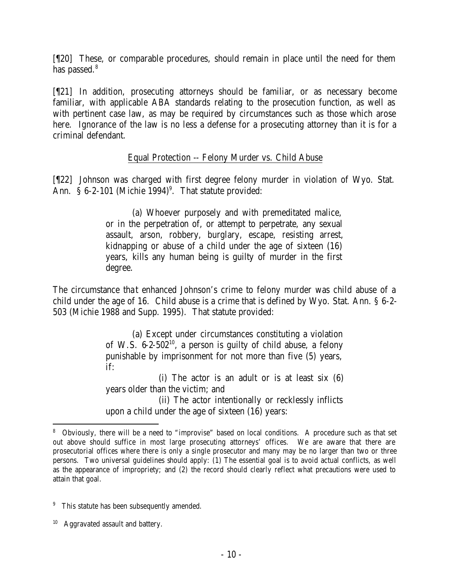[¶20] These, or comparable procedures, should remain in place until the need for them has passed.<sup>8</sup>

[¶21] In addition, prosecuting attorneys should be familiar, or as necessary become familiar, with applicable ABA standards relating to the prosecution function, as well as with pertinent case law, as may be required by circumstances such as those which arose here. Ignorance of the law is no less a defense for a prosecuting attorney than it is for a criminal defendant.

# Equal Protection -- Felony Murder vs. Child Abuse

[¶22] Johnson was charged with first degree felony murder in violation of Wyo. Stat. Ann.  $\S 6-2-101$  (Michie 1994)<sup>9</sup>. That statute provided:

> (a) Whoever purposely and with premeditated malice, or in the perpetration of, or attempt to perpetrate, any sexual assault, arson, robbery, burglary, escape, resisting arrest, kidnapping or abuse of a child under the age of sixteen (16) years, kills any human being is guilty of murder in the first degree.

The circumstance that enhanced Johnson's crime to felony murder was child abuse of a child under the age of 16. Child abuse is a crime that is defined by Wyo. Stat. Ann. § 6-2- 503 (Michie 1988 and Supp. 1995). That statute provided:

> (a) Except under circumstances constituting a violation of W.S.  $6-2-502^{10}$ , a person is guilty of child abuse, a felony punishable by imprisonment for not more than five (5) years, if:

> (i) The actor is an adult or is at least six (6) years older than the victim; and (ii) The actor intentionally or recklessly inflicts upon a child under the age of sixteen (16) years:

<sup>8</sup> Obviously, there will be a need to "improvise" based on local conditions. A procedure such as that set out above should suffice in most large prosecuting attorneys' offices. We are aware that there are prosecutorial offices where there is only a single prosecutor and many may be no larger than two or three persons. Two universal guidelines should apply: (1) The essential goal is to avoid actual conflicts, as well as the appearance of impropriety; and (2) the record should clearly reflect what precautions were used to attain that goal.

<sup>&</sup>lt;sup>9</sup> This statute has been subsequently amended.

<sup>&</sup>lt;sup>10</sup> Aggravated assault and battery.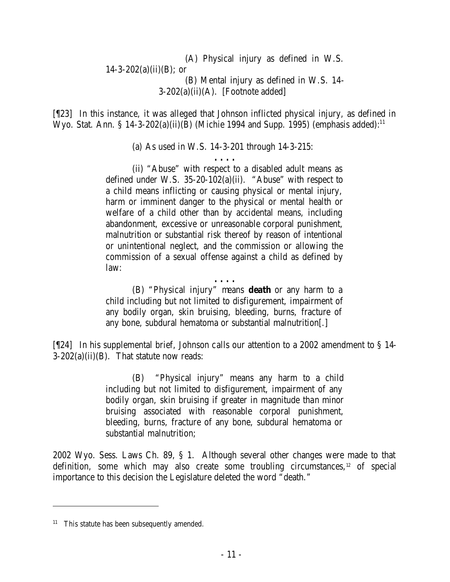(A) Physical injury as defined in W.S.  $14 - 3 - 202(a)(ii)(B)$ ; or (B) Mental injury as defined in W.S. 14-  $3-202(a)(ii)(A)$ . [Footnote added]

[¶23] In this instance, it was alleged that Johnson inflicted physical injury, as defined in Wyo. Stat. Ann. § 14-3-202(a)(ii)(B) (Michie 1994 and Supp. 1995) (emphasis added):<sup>11</sup>

(a) As used in W.S. 14-3-201 through 14-3-215:

**. . . .** (ii) "Abuse" with respect to a disabled adult means as defined under W.S. 35-20-102(a)(ii). "Abuse" with respect to a child means inflicting or causing physical or mental injury, harm or imminent danger to the physical or mental health or welfare of a child other than by accidental means, including abandonment, excessive or unreasonable corporal punishment, malnutrition or substantial risk thereof by reason of intentional or unintentional neglect, and the commission or allowing the commission of a sexual offense against a child as defined by law:

**. . . .**

(B) "Physical injury" means **death** or any harm to a child including but not limited to disfigurement, impairment of any bodily organ, skin bruising, bleeding, burns, fracture of any bone, subdural hematoma or substantial malnutrition[.]

[¶24] In his supplemental brief, Johnson calls our attention to a 2002 amendment to § 14-  $3-202(a)(ii)(B)$ . That statute now reads:

> (B) "Physical injury" means any harm to a child including but not limited to disfigurement, impairment of any bodily organ, skin bruising if greater in magnitude than minor bruising associated with reasonable corporal punishment, bleeding, burns, fracture of any bone, subdural hematoma or substantial malnutrition;

2002 Wyo. Sess. Laws Ch. 89, § 1. Although several other changes were made to that definition, some which may also create some troubling circumstances,<sup>12</sup> of special importance to this decision the Legislature deleted the word "death."

 $11$  This statute has been subsequently amended.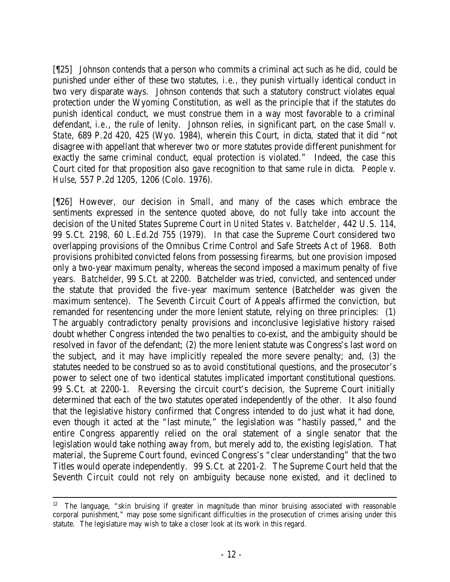[¶25] Johnson contends that a person who commits a criminal act such as he did, could be punished under either of these two statutes, *i.e.,* they punish virtually identical conduct in two very disparate ways. Johnson contends that such a statutory construct violates equal protection under the Wyoming Constitution, as well as the principle that if the statutes do punish identical conduct, we must construe them in a way most favorable to a criminal defendant, *i.e*., the rule of lenity. Johnson relies, in significant part, on the case *Small v. State*, 689 P.2d 420, 425 (Wyo. 1984), wherein this Court, in dicta, stated that it did "not disagree with appellant that wherever two or more statutes provide different punishment for exactly the same criminal conduct, equal protection is violated." Indeed, the case this Court cited for that proposition also gave recognition to that same rule in dicta. *People v. Hulse*, 557 P.2d 1205, 1206 (Colo. 1976).

[¶26] However, our decision in *Small*, and many of the cases which embrace the sentiments expressed in the sentence quoted above, do not fully take into account the decision of the United States Supreme Court in *United States v. Batchelder*, 442 U.S. 114, 99 S.Ct. 2198, 60 L.Ed.2d 755 (1979). In that case the Supreme Court considered two overlapping provisions of the Omnibus Crime Control and Safe Streets Act of 1968. Both provisions prohibited convicted felons from possessing firearms, but one provision imposed only a two-year maximum penalty, whereas the second imposed a maximum penalty of five years. *Batchelder*, 99 S.Ct. at 2200. Batchelder was tried, convicted, and sentenced under the statute that provided the five-year maximum sentence (Batchelder was given the maximum sentence). The Seventh Circuit Court of Appeals affirmed the conviction, but remanded for resentencing under the more lenient statute, relying on three principles: (1) The arguably contradictory penalty provisions and inconclusive legislative history raised doubt whether Congress intended the two penalties to co-exist, and the ambiguity should be resolved in favor of the defendant; (2) the more lenient statute was Congress's last word on the subject, and it may have implicitly repealed the more severe penalty; and, (3) the statutes needed to be construed so as to avoid constitutional questions, and the prosecutor's power to select one of two identical statutes implicated important constitutional questions. 99 S.Ct. at 2200-1. Reversing the circuit court's decision, the Supreme Court initially determined that each of the two statutes operated independently of the other. It also found that the legislative history confirmed that Congress intended to do just what it had done, even though it acted at the "last minute," the legislation was "hastily passed," and the entire Congress apparently relied on the oral statement of a single senator that the legislation would take nothing away from, but merely add to, the existing legislation. That material, the Supreme Court found, evinced Congress's "clear understanding" that the two Titles would operate independently. 99 S.Ct. at 2201-2. The Supreme Court held that the Seventh Circuit could not rely on ambiguity because none existed, and it declined to

<sup>&</sup>lt;sup>12</sup> The language, "skin bruising if greater in magnitude than minor bruising associated with reasonable corporal punishment," may pose some significant difficulties in the prosecution of crimes arising under this statute. The legislature may wish to take a closer look at its work in this regard.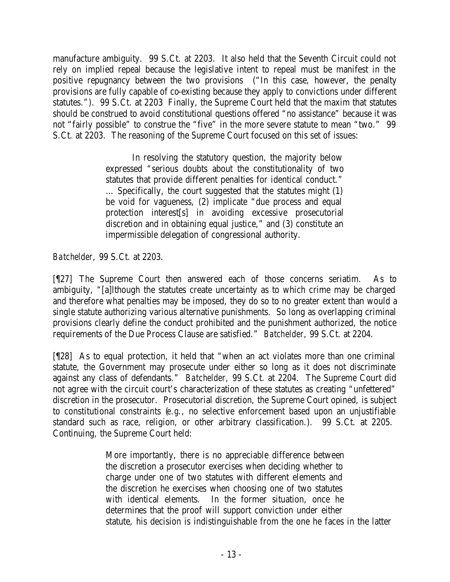manufacture ambiguity. 99 S.Ct. at 2203. It also held that the Seventh Circuit could not rely on implied repeal because the legislative intent to repeal must be manifest in the positive repugnancy between the two provisions ("In this case, however, the penalty provisions are fully capable of co-existing because they apply to convictions under different statutes."). 99 S.Ct. at 2203 Finally, the Supreme Court held that the maxim that statutes should be construed to avoid constitutional questions offered "no assistance" because it was not "fairly possible" to construe the "five" in the more severe statute to mean "two." 99 S.Ct. at 2203. The reasoning of the Supreme Court focused on this set of issues:

> In resolving the statutory question, the majority below expressed "serious doubts about the constitutionality of two statutes that provide different penalties for identical conduct." … Specifically, the court suggested that the statutes might (1) be void for vagueness, (2) implicate "due process and equal protection interest[s] in avoiding excessive prosecutorial discretion and in obtaining equal justice," and (3) constitute an impermissible delegation of congressional authority.

*Batchelder,* 99 S.Ct. at 2203.

[¶27] The Supreme Court then answered each of those concerns seriatim. As to ambiguity, "[a]lthough the statutes create uncertainty as to which crime may be charged and therefore what penalties may be imposed, they do so to no greater extent than would a single statute authorizing various alternative punishments. So long as overlapping criminal provisions clearly define the conduct prohibited and the punishment authorized, the notice requirements of the Due Process Clause are satisfied." *Batchelder,* 99 S.Ct. at 2204.

[¶28] As to equal protection, it held that "when an act violates more than one criminal statute, the Government may prosecute under either so long as it does not discriminate against any class of defendants." *Batchelder,* 99 S.Ct. at 2204. The Supreme Court did not agree with the circuit court's characterization of these statutes as creating "unfettered" discretion in the prosecutor. Prosecutorial discretion, the Supreme Court opined, is subject to constitutional constraints (*e.g*., no selective enforcement based upon an unjustifiable standard such as race, religion, or other arbitrary classification.). 99 S.Ct. at 2205. Continuing, the Supreme Court held:

> More importantly, there is no appreciable difference between the discretion a prosecutor exercises when deciding whether to charge under one of two statutes with different elements and the discretion he exercises when choosing one of two statutes with identical elements. In the former situation, once he determines that the proof will support conviction under either statute, his decision is indistinguishable from the one he faces in the latter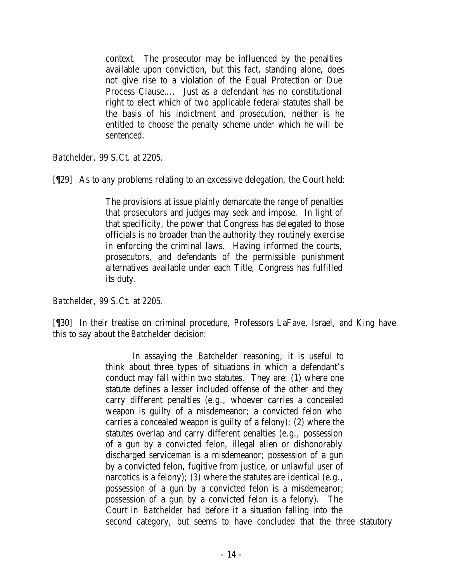context. The prosecutor may be influenced by the penalties available upon conviction, but this fact, standing alone, does not give rise to a violation of the Equal Protection or Due Process Clause…. Just as a defendant has no constitutional right to elect which of two applicable federal statutes shall be the basis of his indictment and prosecution, neither is he entitled to choose the penalty scheme under which he will be sentenced.

*Batchelder,* 99 S.Ct. at 2205.

[¶29] As to any problems relating to an excessive delegation, the Court held:

The provisions at issue plainly demarcate the range of penalties that prosecutors and judges may seek and impose. In light of that specificity, the power that Congress has delegated to those officials is no broader than the authority they routinely exercise in enforcing the criminal laws. Having informed the courts, prosecutors, and defendants of the permissible punishment alternatives available under each Title, Congress has fulfilled its duty.

*Batchelder,* 99 S.Ct. at 2205.

[¶30] In their treatise on criminal procedure, Professors LaFave, Israel, and King have this to say about the *Batchelder* decision:

> In assaying the *Batchelder* reasoning, it is useful to think about three types of situations in which a defendant's conduct may fall within two statutes. They are: (1) where one statute defines a lesser included offense of the other and they carry different penalties (e.g., whoever carries a concealed weapon is guilty of a misdemeanor; a convicted felon who carries a concealed weapon is guilty of a felony); (2) where the statutes overlap and carry different penalties (e.g., possession of a gun by a convicted felon, illegal alien or dishonorably discharged serviceman is a misdemeanor; possession of a gun by a convicted felon, fugitive from justice, or unlawful user of narcotics is a felony); (3) where the statutes are identical (e.g., possession of a gun by a convicted felon is a misdemeanor; possession of a gun by a convicted felon is a felony). The Court in *Batchelder* had before it a situation falling into the second category, but seems to have concluded that the three statutory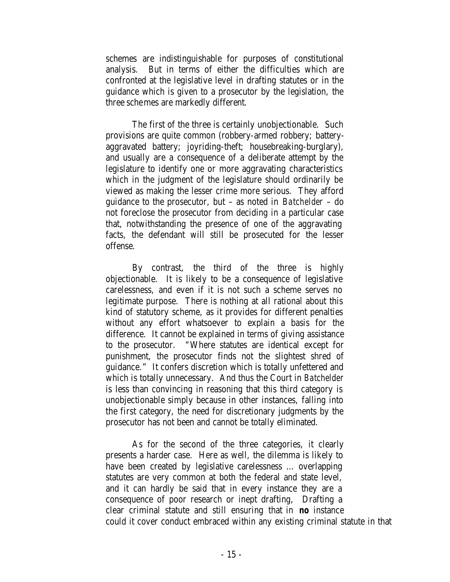schemes are indistinguishable for purposes of constitutional analysis. But in terms of either the difficulties which are confronted at the legislative level in drafting statutes or in the guidance which is given to a prosecutor by the legislation, the three schemes are markedly different.

The first of the three is certainly unobjectionable. Such provisions are quite common (robbery-armed robbery; batteryaggravated battery; joyriding-theft; housebreaking-burglary), and usually are a consequence of a deliberate attempt by the legislature to identify one or more aggravating characteristics which in the judgment of the legislature should ordinarily be viewed as making the lesser crime more serious. They afford guidance to the prosecutor, but – as noted in *Batchelder* – do not foreclose the prosecutor from deciding in a particular case that, notwithstanding the presence of one of the aggravating facts, the defendant will still be prosecuted for the lesser offense.

By contrast, the third of the three is highly objectionable. It is likely to be a consequence of legislative carelessness, and even if it is not such a scheme serves no legitimate purpose. There is nothing at all rational about this kind of statutory scheme, as it provides for different penalties without any effort whatsoever to explain a basis for the difference. It cannot be explained in terms of giving assistance to the prosecutor. "Where statutes are identical except for punishment, the prosecutor finds not the slightest shred of guidance." It confers discretion which is totally unfettered and which is totally unnecessary. And thus the Court in *Batchelder* is less than convincing in reasoning that this third category is unobjectionable simply because in other instances, falling into the first category, the need for discretionary judgments by the prosecutor has not been and cannot be totally eliminated.

As for the second of the three categories, it clearly presents a harder case. Here as well, the dilemma is likely to have been created by legislative carelessness … overlapping statutes are very common at both the federal and state level, and it can hardly be said that in every instance they are a consequence of poor research or inept drafting, Drafting a clear criminal statute and still ensuring that in *no* instance could it cover conduct embraced within any existing criminal statute in that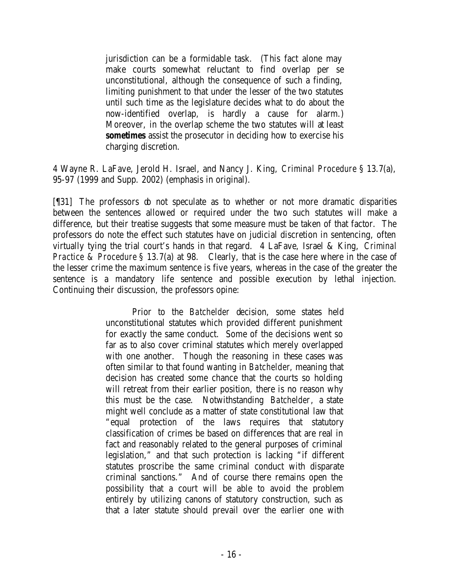jurisdiction can be a formidable task. (This fact alone may make courts somewhat reluctant to find overlap per se unconstitutional, although the consequence of such a finding, limiting punishment to that under the lesser of the two statutes until such time as the legislature decides what to do about the now-identified overlap, is hardly a cause for alarm.) Moreover, in the overlap scheme the two statutes will at least *sometimes* assist the prosecutor in deciding how to exercise his charging discretion.

4 Wayne R. LaFave, Jerold H. Israel, and Nancy J. King, *Criminal Procedure* § 13.7(a), 95-97 (1999 and Supp. 2002) (emphasis in original).

[¶31] The professors do not speculate as to whether or not more dramatic disparities between the sentences allowed or required under the two such statutes will make a difference, but their treatise suggests that some measure must be taken of that factor. The professors do note the effect such statutes have on judicial discretion in sentencing, often virtually tying the trial court's hands in that regard. 4 LaFave, Israel & King, *Criminal Practice & Procedure* § 13.7(a) at 98. Clearly, that is the case here where in the case of the lesser crime the maximum sentence is five years, whereas in the case of the greater the sentence is a mandatory life sentence and possible execution by lethal injection. Continuing their discussion, the professors opine:

> Prior to the *Batchelder* decision, some states held unconstitutional statutes which provided different punishment for exactly the same conduct. Some of the decisions went so far as to also cover criminal statutes which merely overlapped with one another. Though the reasoning in these cases was often similar to that found wanting in *Batchelder*, meaning that decision has created some chance that the courts so holding will retreat from their earlier position, there is no reason why this must be the case. Notwithstanding *Batchelder*, a state might well conclude as a matter of state constitutional law that "equal protection of the laws requires that statutory classification of crimes be based on differences that are real in fact and reasonably related to the general purposes of criminal legislation," and that such protection is lacking "if different statutes proscribe the same criminal conduct with disparate criminal sanctions." And of course there remains open the possibility that a court will be able to avoid the problem entirely by utilizing canons of statutory construction, such as that a later statute should prevail over the earlier one with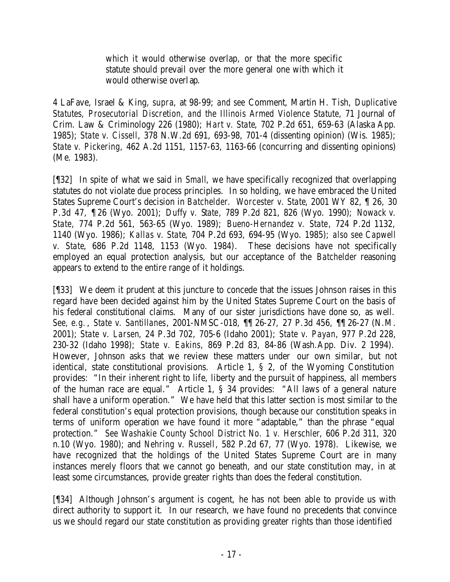which it would otherwise overlap, or that the more specific statute should prevail over the more general one with which it would otherwise overlap.

4 LaFave, Israel & King, *supra*, at 98-99; *and see* Comment, Martin H. Tish, *Duplicative Statutes, Prosecutorial Discretion, and the Illinois Armed Violence Statute*, 71 Journal of Crim. Law & Criminology 226 (1980); *Hart v. State*, 702 P.2d 651, 659-63 (Alaska App. 1985); *State v. Cissell*, 378 N.W.2d 691, 693-98, 701-4 (dissenting opinion) (Wis. 1985); *State v. Pickering*, 462 A.2d 1151, 1157-63, 1163-66 (concurring and dissenting opinions) (Me. 1983).

[¶32] In spite of what we said in *Small*, we have specifically recognized that overlapping statutes do not violate due process principles. In so holding, we have embraced the United States Supreme Court's decision in *Batchelder*. *Worcester v. State*, 2001 WY 82, ¶ 26, 30 P.3d 47, ¶ 26 (Wyo. 2001); *Duffy v. State*, 789 P.2d 821, 826 (Wyo. 1990); *Nowack v. State*, 774 P.2d 561, 563-65 (Wyo. 1989); *Bueno-Hernandez v. State*, 724 P.2d 1132, 1140 (Wyo. 1986); *Kallas v. State*, 704 P.2d 693, 694-95 (Wyo. 1985); *also see Capwell v. State*, 686 P.2d 1148, 1153 (Wyo. 1984). These decisions have not specifically employed an equal protection analysis, but our acceptance of the *Batchelder* reasoning appears to extend to the entire range of it holdings.

[¶33] We deem it prudent at this juncture to concede that the issues Johnson raises in this regard have been decided against him by the United States Supreme Court on the basis of his federal constitutional claims. Many of our sister jurisdictions have done so, as well. *See, e.g.*, *State v. Santillanes*, 2001-NMSC-018, ¶¶ 26-27, 27 P.3d 456, ¶¶ 26-27 (N.M. 2001); *State v. Larsen*, 24 P.3d 702, 705-6 (Idaho 2001); *State v. Payan*, 977 P.2d 228, 230-32 (Idaho 1998); *State v. Eakins*, 869 P.2d 83, 84-86 (Wash.App. Div. 2 1994). However, Johnson asks that we review these matters under our own similar, but not identical, state constitutional provisions. Article 1, § 2, of the Wyoming Constitution provides: "In their inherent right to life, liberty and the pursuit of happiness, all members of the human race are equal." Article 1, § 34 provides: "All laws of a general nature shall have a uniform operation." We have held that this latter section is most similar to the federal constitution's equal protection provisions, though because our constitution speaks in terms of uniform operation we have found it more "adaptable," than the phrase "equal protection." *See Washakie County School District No. 1 v. Herschler*, 606 P.2d 311, 320 n.10 (Wyo. 1980); and *Nehring v. Russell*, 582 P.2d 67, 77 (Wyo. 1978). Likewise, we have recognized that the holdings of the United States Supreme Court are in many instances merely floors that we cannot go beneath, and our state constitution may, in at least some circumstances, provide greater rights than does the federal constitution.

[¶34] Although Johnson's argument is cogent, he has not been able to provide us with direct authority to support it. In our research, we have found no precedents that convince us we should regard our state constitution as providing greater rights than those identified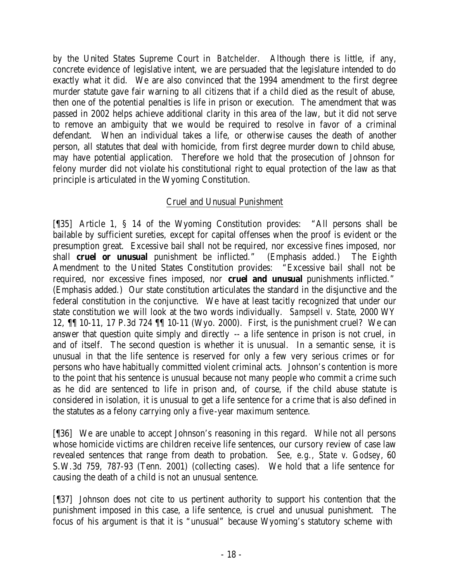by the United States Supreme Court in *Batchelder*. Although there is little, if any, concrete evidence of legislative intent, we are persuaded that the legislature intended to do exactly what it did. We are also convinced that the 1994 amendment to the first degree murder statute gave fair warning to all citizens that if a child died as the result of abuse, then one of the potential penalties is life in prison or execution. The amendment that was passed in 2002 helps achieve additional clarity in this area of the law, but it did not serve to remove an ambiguity that we would be required to resolve in favor of a criminal defendant. When an individual takes a life, or otherwise causes the death of another person, all statutes that deal with homicide, from first degree murder down to child abuse, may have potential application. Therefore we hold that the prosecution of Johnson for felony murder did not violate his constitutional right to equal protection of the law as that principle is articulated in the Wyoming Constitution.

# Cruel and Unusual Punishment

[¶35] Article 1, § 14 of the Wyoming Constitution provides: "All persons shall be bailable by sufficient sureties, except for capital offenses when the proof is evident or the presumption great. Excessive bail shall not be required, nor excessive fines imposed, nor shall **cruel or unusual** punishment be inflicted." (Emphasis added.) The Eighth Amendment to the United States Constitution provides: "Excessive bail shall not be required, nor excessive fines imposed, nor **cruel and unusual** punishments inflicted." (Emphasis added.) Our state constitution articulates the standard in the disjunctive and the federal constitution in the conjunctive. We have at least tacitly recognized that under our state constitution we will look at the two words individually. *Sampsell v. State*, 2000 WY 12, ¶¶ 10-11, 17 P.3d 724 ¶¶ 10-11 (Wyo. 2000). First, is the punishment cruel? We can answer that question quite simply and directly -- a life sentence in prison is not cruel, in and of itself. The second question is whether it is unusual. In a semantic sense, it is unusual in that the life sentence is reserved for only a few very serious crimes or for persons who have habitually committed violent criminal acts. Johnson's contention is more to the point that his sentence is unusual because not many people who commit a crime such as he did are sentenced to life in prison and, of course, if the child abuse statute is considered in isolation, it is unusual to get a life sentence for a crime that is also defined in the statutes as a felony carrying only a five-year maximum sentence.

[¶36] We are unable to accept Johnson's reasoning in this regard. While not all persons whose homicide victims are children receive life sentences, our cursory review of case law revealed sentences that range from death to probation. *See, e.g., State v. Godsey*, 60 S.W.3d 759, 787-93 (Tenn. 2001) (collecting cases). We hold that a life sentence for causing the death of a child is not an unusual sentence.

[¶37] Johnson does not cite to us pertinent authority to support his contention that the punishment imposed in this case, a life sentence, is cruel and unusual punishment. The focus of his argument is that it is "unusual" because Wyoming's statutory scheme with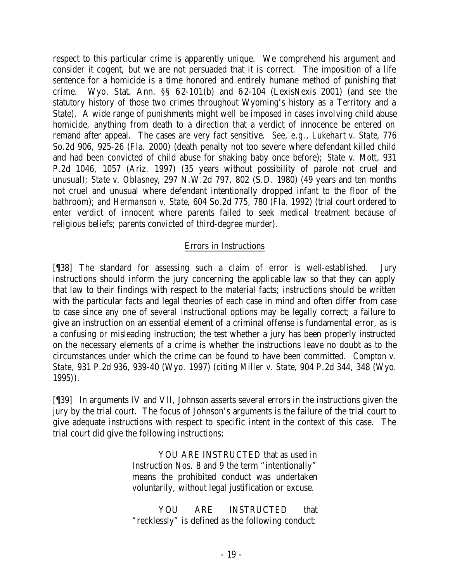respect to this particular crime is apparently unique. We comprehend his argument and consider it cogent, but we are not persuaded that it is correct. The imposition of a life sentence for a homicide is a time honored and entirely humane method of punishing that crime. Wyo. Stat. Ann.  $\S$ § 62-101(b) and 62-104 (LexisNexis 2001) (and see the statutory history of those two crimes throughout Wyoming's history as a Territory and a State). A wide range of punishments might well be imposed in cases involving child abuse homicide, anything from death to a direction that a verdict of innocence be entered on remand after appeal. The cases are very fact sensitive. *See, e.g., Lukehart v. State*, 776 So.2d 906, 925-26 (Fla. 2000) (death penalty not too severe where defendant killed child and had been convicted of child abuse for shaking baby once before); *State v. Mott*, 931 P.2d 1046, 1057 (Ariz. 1997) (35 years without possibility of parole not cruel and unusual); *State v. Oblasney*, 297 N.W.2d 797, 802 (S.D. 1980) (49 years and ten months not cruel and unusual where defendant intentionally dropped infant to the floor of the bathroom); and *Hermanson v. State*, 604 So.2d 775, 780 (Fla. 1992) (trial court ordered to enter verdict of innocent where parents failed to seek medical treatment because of religious beliefs; parents convicted of third-degree murder).

# Errors in Instructions

[¶38] The standard for assessing such a claim of error is well-established. Jury instructions should inform the jury concerning the applicable law so that they can apply that law to their findings with respect to the material facts; instructions should be written with the particular facts and legal theories of each case in mind and often differ from case to case since any one of several instructional options may be legally correct; a failure to give an instruction on an essential element of a criminal offense is fundamental error, as is a confusing or misleading instruction; the test whether a jury has been properly instructed on the necessary elements of a crime is whether the instructions leave no doubt as to the circumstances under which the crime can be found to have been committed. *Compton v. State*, 931 P.2d 936, 939-40 (Wyo. 1997) (citing *Miller v. State*, 904 P.2d 344, 348 (Wyo. 1995)).

[¶39] In arguments IV and VII, Johnson asserts several errors in the instructions given the jury by the trial court. The focus of Johnson's arguments is the failure of the trial court to give adequate instructions with respect to specific intent in the context of this case. The trial court did give the following instructions:

> YOU ARE INSTRUCTED that as used in Instruction Nos. 8 and 9 the term "intentionally" means the prohibited conduct was undertaken voluntarily, without legal justification or excuse.

> YOU ARE INSTRUCTED that "recklessly" is defined as the following conduct: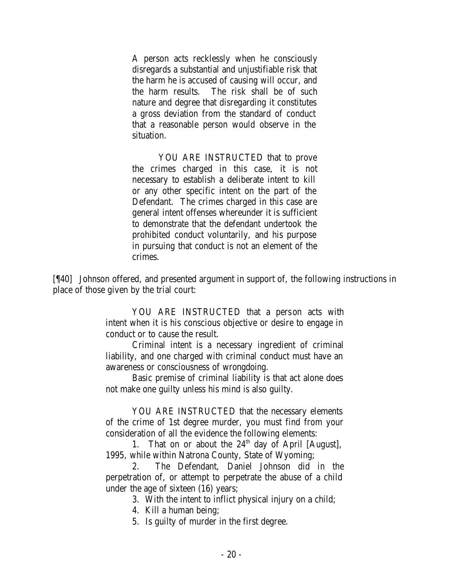A person acts recklessly when he consciously disregards a substantial and unjustifiable risk that the harm he is accused of causing will occur, and the harm results. The risk shall be of such nature and degree that disregarding it constitutes a gross deviation from the standard of conduct that a reasonable person would observe in the situation.

YOU ARE INSTRUCTED that to prove the crimes charged in this case, it is not necessary to establish a deliberate intent to kill or any other specific intent on the part of the Defendant. The crimes charged in this case are general intent offenses whereunder it is sufficient to demonstrate that the defendant undertook the prohibited conduct voluntarily, and his purpose in pursuing that conduct is not an element of the crimes.

[¶40] Johnson offered, and presented argument in support of, the following instructions in place of those given by the trial court:

> YOU ARE INSTRUCTED that a person acts with intent when it is his conscious objective or desire to engage in conduct or to cause the result.

> Criminal intent is a necessary ingredient of criminal liability, and one charged with criminal conduct must have an awareness or consciousness of wrongdoing.

> Basic premise of criminal liability is that act alone does not make one guilty unless his mind is also guilty.

> YOU ARE INSTRUCTED that the necessary elements of the crime of 1st degree murder, you must find from your consideration of all the evidence the following elements:

> 1. That on or about the  $24<sup>th</sup>$  day of April [August], 1995, while within Natrona County, State of Wyoming;

> 2. The Defendant, Daniel Johnson did in the perpetration of, or attempt to perpetrate the abuse of a child under the age of sixteen (16) years;

3. With the intent to inflict physical injury on a child;

4. Kill a human being;

5. Is guilty of murder in the first degree.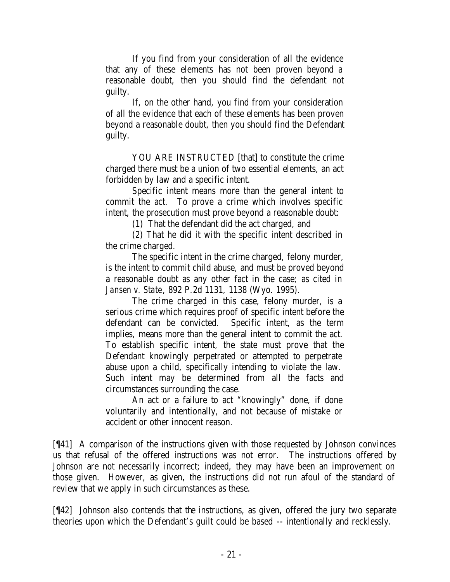If you find from your consideration of all the evidence that any of these elements has not been proven beyond a reasonable doubt, then you should find the defendant not guilty.

If, on the other hand, you find from your consideration of all the evidence that each of these elements has been proven beyond a reasonable doubt, then you should find the Defendant guilty.

YOU ARE INSTRUCTED [that] to constitute the crime charged there must be a union of two essential elements, an act forbidden by law and a specific intent.

Specific intent means more than the general intent to commit the act. To prove a crime which involves specific intent, the prosecution must prove beyond a reasonable doubt:

(1) That the defendant did the act charged, and

(2) That he did it with the specific intent described in the crime charged.

The specific intent in the crime charged, felony murder, is the intent to commit child abuse, and must be proved beyond a reasonable doubt as any other fact in the case; as cited in *Jansen v. State*, 892 P.2d 1131, 1138 (Wyo. 1995).

The crime charged in this case, felony murder, is a serious crime which requires proof of specific intent before the defendant can be convicted. Specific intent, as the term implies, means more than the general intent to commit the act. To establish specific intent, the state must prove that the Defendant knowingly perpetrated or attempted to perpetrate abuse upon a child, specifically intending to violate the law. Such intent may be determined from all the facts and circumstances surrounding the case.

An act or a failure to act "knowingly" done, if done voluntarily and intentionally, and not because of mistake or accident or other innocent reason.

[¶41] A comparison of the instructions given with those requested by Johnson convinces us that refusal of the offered instructions was not error. The instructions offered by Johnson are not necessarily incorrect; indeed, they may have been an improvement on those given. However, as given, the instructions did not run afoul of the standard of review that we apply in such circumstances as these.

[¶42] Johnson also contends that the instructions, as given, offered the jury two separate theories upon which the Defendant's guilt could be based -- intentionally and recklessly.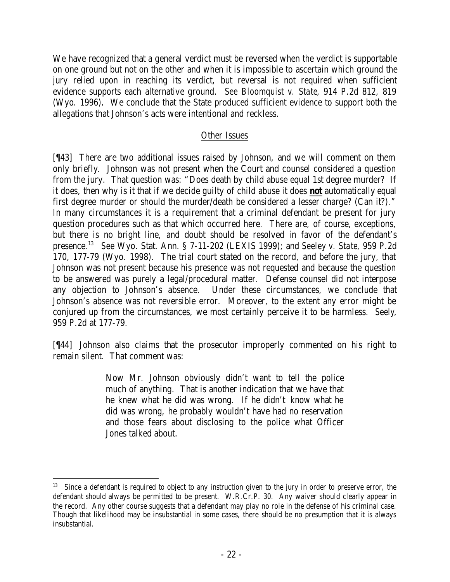We have recognized that a general verdict must be reversed when the verdict is supportable on one ground but not on the other and when it is impossible to ascertain which ground the jury relied upon in reaching its verdict, but reversal is not required when sufficient evidence supports each alternative ground. *See Bloomquist v. State*, 914 P.2d 812, 819 (Wyo. 1996). We conclude that the State produced sufficient evidence to support both the allegations that Johnson's acts were intentional and reckless.

# Other Issues

[¶43] There are two additional issues raised by Johnson, and we will comment on them only briefly. Johnson was not present when the Court and counsel considered a question from the jury. That question was: "Does death by child abuse equal 1st degree murder? If it does, then why is it that if we decide guilty of child abuse it does **not** automatically equal first degree murder or should the murder/death be considered a lesser charge? (Can it?)." In many circumstances it is a requirement that a criminal defendant be present for jury question procedures such as that which occurred here. There are, of course, exceptions, but there is no bright line, and doubt should be resolved in favor of the defendant's presence.<sup>13</sup> *See* Wyo. Stat. Ann. § 7-11-202 (LEXIS 1999); and *Seeley v. State*, 959 P.2d 170, 177-79 (Wyo. 1998). The trial court stated on the record, and before the jury, that Johnson was not present because his presence was not requested and because the question to be answered was purely a legal/procedural matter. Defense counsel did not interpose any objection to Johnson's absence. Under these circumstances, we conclude that Johnson's absence was not reversible error. Moreover, to the extent any error might be conjured up from the circumstances, we most certainly perceive it to be harmless. *Seely*, 959 P.2d at 177-79.

[¶44] Johnson also claims that the prosecutor improperly commented on his right to remain silent. That comment was:

> Now Mr. Johnson obviously didn't want to tell the police much of anything. That is another indication that we have that he knew what he did was wrong. If he didn't know what he did was wrong, he probably wouldn't have had no reservation and those fears about disclosing to the police what Officer Jones talked about.

 13 Since a defendant is required to object to any instruction given to the jury in order to preserve error, the defendant should always be permitted to be present. W.R.Cr.P. 30. Any waiver should clearly appear in the record. Any other course suggests that a defendant may play no role in the defense of his criminal case. Though that likelihood may be insubstantial in some cases, there should be no presumption that it is always insubstantial.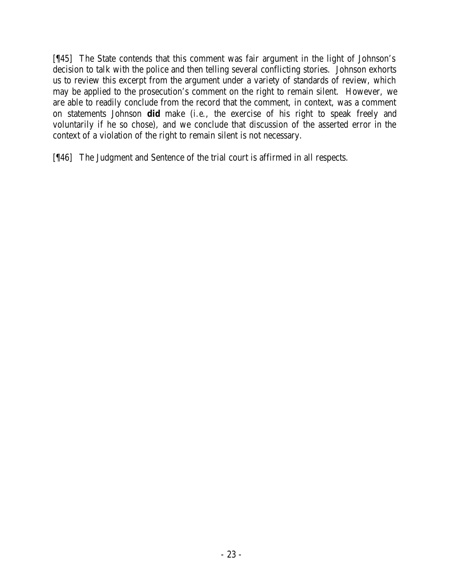[¶45] The State contends that this comment was fair argument in the light of Johnson's decision to talk with the police and then telling several conflicting stories. Johnson exhorts us to review this excerpt from the argument under a variety of standards of review, which may be applied to the prosecution's comment on the right to remain silent. However, we are able to readily conclude from the record that the comment, in context, was a comment on statements Johnson **did** make (*i.e*., the exercise of his right to speak freely and voluntarily if he so chose), and we conclude that discussion of the asserted error in the context of a violation of the right to remain silent is not necessary.

[¶46] The Judgment and Sentence of the trial court is affirmed in all respects.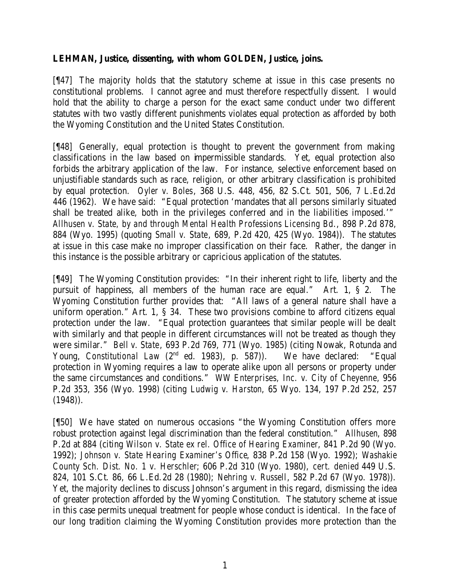## **LEHMAN, Justice, dissenting, with whom GOLDEN, Justice, joins.**

[¶47] The majority holds that the statutory scheme at issue in this case presents no constitutional problems. I cannot agree and must therefore respectfully dissent. I would hold that the ability to charge a person for the exact same conduct under two different statutes with two vastly different punishments violates equal protection as afforded by both the Wyoming Constitution and the United States Constitution.

[¶48] Generally, equal protection is thought to prevent the government from making classifications in the law based on impermissible standards. Yet, equal protection also forbids the arbitrary application of the law. For instance, selective enforcement based on unjustifiable standards such as race, religion, or other arbitrary classification is prohibited by equal protection. *Oyler v. Boles*, 368 U.S. 448, 456, 82 S.Ct. 501, 506, 7 L.Ed.2d 446 (1962). We have said: "Equal protection 'mandates that all persons similarly situated shall be treated alike, both in the privileges conferred and in the liabilities imposed.'" *Allhusen v. State, by and through Mental Health Professions Licensing Bd*., 898 P.2d 878, 884 (Wyo. 1995) (quoting *Small v. State*, 689, P.2d 420, 425 (Wyo. 1984)). The statutes at issue in this case make no improper classification on their face. Rather, the danger in this instance is the possible arbitrary or capricious application of the statutes.

[¶49] The Wyoming Constitution provides: "In their inherent right to life, liberty and the pursuit of happiness, all members of the human race are equal." Art. 1, § 2. The Wyoming Constitution further provides that: "All laws of a general nature shall have a uniform operation." Art. 1, § 34. These two provisions combine to afford citizens equal protection under the law. "Equal protection guarantees that similar people will be dealt with similarly and that people in different circumstances will not be treated as though they were similar." *Bell v. State*, 693 P.2d 769, 771 (Wyo. 1985) (citing Nowak, Rotunda and Young, *Constitutional Law* (2<sup>nd</sup> ed. 1983), p. 587)). We have declared: "Equal protection in Wyoming requires a law to operate alike upon all persons or property under the same circumstances and conditions." *WW Enterprises, Inc. v. City of Cheyenne*, 956 P.2d 353, 356 (Wyo. 1998) (citing *Ludwig v. Harston*, 65 Wyo. 134, 197 P.2d 252, 257  $(1948)$ .

[¶50] We have stated on numerous occasions "the Wyoming Constitution offers more robust protection against legal discrimination than the federal constitution." *Allhusen*, 898 P.2d at 884 (citing *Wilson v. State ex rel. Office of Hearing Examiner*, 841 P.2d 90 (Wyo. 1992); *Johnson v. State Hearing Examiner's Office*, 838 P.2d 158 (Wyo. 1992); *Washakie County Sch. Dist. No. 1 v. Herschler*; 606 P.2d 310 (Wyo. 1980), *cert. denied* 449 U.S. 824, 101 S.Ct. 86, 66 L.Ed.2d 28 (1980); *Nehring v. Russell*, 582 P.2d 67 (Wyo. 1978)). Yet, the majority declines to discuss Johnson's argument in this regard, dismissing the idea of greater protection afforded by the Wyoming Constitution. The statutory scheme at issue in this case permits unequal treatment for people whose conduct is identical. In the face of our long tradition claiming the Wyoming Constitution provides more protection than the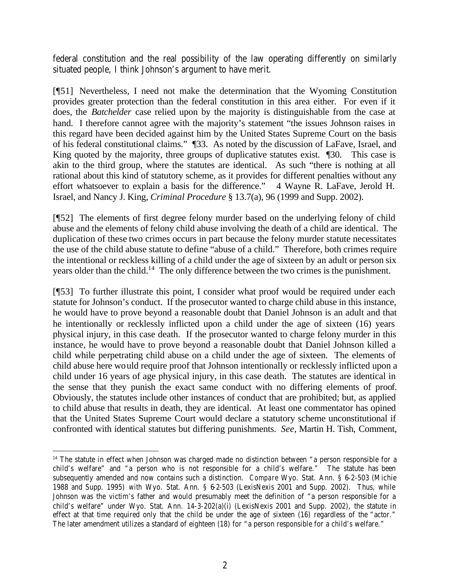federal constitution and the real possibility of the law operating differently on similarly situated people, I think Johnson's argument to have merit.

[¶51] Nevertheless, I need not make the determination that the Wyoming Constitution provides greater protection than the federal constitution in this area either. For even if it does, the *Batchelder* case relied upon by the majority is distinguishable from the case at hand. I therefore cannot agree with the majority's statement "the issues Johnson raises in this regard have been decided against him by the United States Supreme Court on the basis of his federal constitutional claims." ¶33. As noted by the discussion of LaFave, Israel, and King quoted by the majority, three groups of duplicative statutes exist.  $\Box$ 30. This case is akin to the third group, where the statutes are identical. As such "there is nothing at all rational about this kind of statutory scheme, as it provides for different penalties without any effort whatsoever to explain a basis for the difference." 4 Wayne R. LaFave, Jerold H. Israel, and Nancy J. King, *Criminal Procedure* § 13.7(a), 96 (1999 and Supp. 2002).

[¶52] The elements of first degree felony murder based on the underlying felony of child abuse and the elements of felony child abuse involving the death of a child are identical. The duplication of these two crimes occurs in part because the felony murder statute necessitates the use of the child abuse statute to define "abuse of a child." Therefore, both crimes require the intentional or reckless killing of a child under the age of sixteen by an adult or person six years older than the child.<sup>14</sup> The only difference between the two crimes is the punishment.

[¶53] To further illustrate this point, I consider what proof would be required under each statute for Johnson's conduct. If the prosecutor wanted to charge child abuse in this instance, he would have to prove beyond a reasonable doubt that Daniel Johnson is an adult and that he intentionally or recklessly inflicted upon a child under the age of sixteen (16) years physical injury, in this case death. If the prosecutor wanted to charge felony murder in this instance, he would have to prove beyond a reasonable doubt that Daniel Johnson killed a child while perpetrating child abuse on a child under the age of sixteen. The elements of child abuse here would require proof that Johnson intentionally or recklessly inflicted upon a child under 16 years of age physical injury, in this case death. The statutes are identical in the sense that they punish the exact same conduct with no differing elements of proof. Obviously, the statutes include other instances of conduct that are prohibited; but, as applied to child abuse that results in death, they are identical. At least one commentator has opined that the United States Supreme Court would declare a statutory scheme unconstitutional if confronted with identical statutes but differing punishments. *See*, Martin H. Tish, Comment,

 <sup>14</sup> The statute in effect when Johnson was charged made no distinction between "a person responsible for a child's welfare" and "a person who is not responsible for a child's welfare." The statute has been subsequently amended and now contains such a distinction. *Compare* Wyo. Stat. Ann. § 6-2-503 (Michie 1988 and Supp. 1995) *with* Wyo. Stat. Ann. § 6-2-503 (LexisNexis 2001 and Supp. 2002). Thus, while Johnson was the victim's father and would presumably meet the definition of "a person responsible for a child's welfare" under Wyo. Stat. Ann. 14-3-202(a)(i) (LexisNexis 2001 and Supp. 2002), the statute in effect at that time required only that the child be under the age of sixteen (16) regardless of the "actor." The later amendment utilizes a standard of eighteen (18) for "a person responsible for a child's welfare."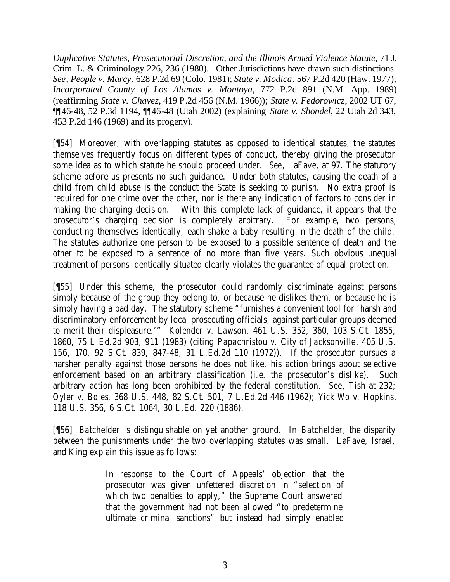*Duplicative Statutes, Prosecutorial Discretion, and the Illinois Armed Violence Statute*, 71 J. Crim. L. & Criminology 226, 236 (1980). Other Jurisdictions have drawn such distinctions. *See*, *People v. Marcy*, 628 P.2d 69 (Colo. 1981); *State v. Modica*, 567 P.2d 420 (Haw. 1977); *Incorporated County of Los Alamos v. Montoya*, 772 P.2d 891 (N.M. App. 1989) (reaffirming *State v. Chavez*, 419 P.2d 456 (N.M. 1966)); *State v. Fedorowicz*, 2002 UT 67, ¶¶46-48, 52 P.3d 1194, ¶¶46-48 (Utah 2002) (explaining *State v. Shondel*, 22 Utah 2d 343, 453 P.2d 146 (1969) and its progeny).

[¶54] Moreover, with overlapping statutes as opposed to identical statutes, the statutes themselves frequently focus on different types of conduct, thereby giving the prosecutor some idea as to which statute he should proceed under. *See*, LaFave, at 97. The statutory scheme before us presents no such guidance. Under both statutes, causing the death of a child from child abuse is the conduct the State is seeking to punish. No extra proof is required for one crime over the other, nor is there any indication of factors to consider in making the charging decision. With this complete lack of guidance, it appears that the prosecutor's charging decision is completely arbitrary. For example, two persons, conducting themselves identically, each shake a baby resulting in the death of the child. The statutes authorize one person to be exposed to a possible sentence of death and the other to be exposed to a sentence of no more than five years. Such obvious unequal treatment of persons identically situated clearly violates the guarantee of equal protection.

[¶55] Under this scheme, the prosecutor could randomly discriminate against persons simply because of the group they belong to, or because he dislikes them, or because he is simply having a bad day. The statutory scheme "furnishes a convenient tool for 'harsh and discriminatory enforcement by local prosecuting officials, against particular groups deemed to merit their displeasure.'" *Kolender v. Lawson*, 461 U.S. 352, 360, 103 S.Ct. 1855, 1860, 75 L.Ed.2d 903, 911 (1983) (citing *Papachristou v. City of Jacksonville*, 405 U.S. 156, 170, 92 S.Ct. 839, 847-48, 31 L.Ed.2d 110 (1972)). If the prosecutor pursues a harsher penalty against those persons he does not like, his action brings about selective enforcement based on an arbitrary classification (i.e. the prosecutor's dislike). Such arbitrary action has long been prohibited by the federal constitution. *See*, Tish at 232; *Oyler v. Boles*, 368 U.S. 448, 82 S.Ct. 501, 7 L.Ed.2d 446 (1962); *Yick Wo v. Hopkins*, 118 U.S. 356, 6 S.Ct. 1064, 30 L.Ed. 220 (1886).

[¶56] *Batchelder* is distinguishable on yet another ground. In *Batchelder,* the disparity between the punishments under the two overlapping statutes was small. LaFave, Israel, and King explain this issue as follows:

> In response to the Court of Appeals' objection that the prosecutor was given unfettered discretion in "selection of which two penalties to apply," the Supreme Court answered that the government had not been allowed "to predetermine ultimate criminal sanctions" but instead had simply enabled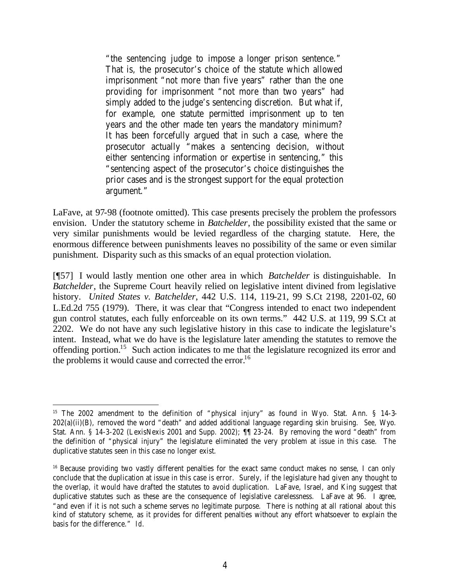"the sentencing judge to impose a longer prison sentence." That is, the prosecutor's choice of the statute which allowed imprisonment "not more than five years" rather than the one providing for imprisonment "not more than two years" had simply added to the judge's sentencing discretion. But what if, for example, one statute permitted imprisonment up to ten years and the other made ten years the mandatory minimum? It has been forcefully argued that in such a case, where the prosecutor actually "makes a sentencing decision, without either sentencing information or expertise in sentencing," this "sentencing aspect of the prosecutor's choice distinguishes the prior cases and is the strongest support for the equal protection argument."

LaFave, at 97-98 (footnote omitted). This case presents precisely the problem the professors envision. Under the statutory scheme in *Batchelder*, the possibility existed that the same or very similar punishments would be levied regardless of the charging statute. Here, the enormous difference between punishments leaves no possibility of the same or even similar punishment. Disparity such as this smacks of an equal protection violation.

[¶57] I would lastly mention one other area in which *Batchelder* is distinguishable. In *Batchelder*, the Supreme Court heavily relied on legislative intent divined from legislative history. *United States v. Batchelder*, 442 U.S. 114, 119-21, 99 S.Ct 2198, 2201-02, 60 L.Ed.2d 755 (1979). There, it was clear that "Congress intended to enact two independent gun control statutes, each fully enforceable on its own terms." 442 U.S. at 119, 99 S.Ct at 2202. We do not have any such legislative history in this case to indicate the legislature's intent. Instead, what we do have is the legislature later amending the statutes to remove the offending portion.<sup>15</sup> Such action indicates to me that the legislature recognized its error and the problems it would cause and corrected the error.<sup>16</sup>

<sup>&</sup>lt;sup>15</sup> The 2002 amendment to the definition of "physical injury" as found in Wyo. Stat. Ann. § 14-3-202(a)(ii)(B), removed the word "death" and added additional language regarding skin bruising. *See,* Wyo. Stat. Ann. § 14-3-202 (LexisNexis 2001 and Supp. 2002); ¶¶ 23-24. By removing the word "death" from the definition of "physical injury" the legislature eliminated the very problem at issue in this case. The duplicative statutes seen in this case no longer exist.

<sup>&</sup>lt;sup>16</sup> Because providing two vastly different penalties for the exact same conduct makes no sense, I can only conclude that the duplication at issue in this case is error. Surely, if the legislature had given any thought to the overlap, it would have drafted the statutes to avoid duplication. LaFave, Israel, and King suggest that duplicative statutes such as these are the consequence of legislative carelessness. LaFave at 96. I agree, "and even if it is not such a scheme serves no legitimate purpose. There is nothing at all rational about this kind of statutory scheme, as it provides for different penalties without any effort whatsoever to explain the basis for the difference." *Id*.